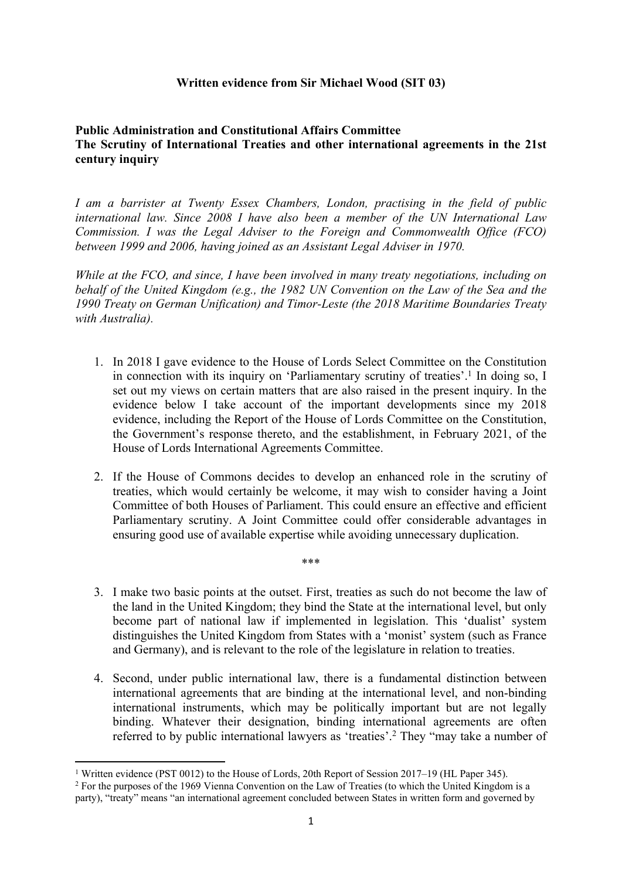### **Written evidence from Sir Michael Wood (SIT 03)**

## **Public Administration and Constitutional Affairs Committee The Scrutiny of International Treaties and other international agreements in the 21st century inquiry**

*I am a barrister at Twenty Essex Chambers, London, practising in the field of public international law. Since 2008 I have also been a member of the UN International Law Commission. I was the Legal Adviser to the Foreign and Commonwealth Office (FCO) between 1999 and 2006, having joined as an Assistant Legal Adviser in 1970.* 

*While at the FCO, and since, I have been involved in many treaty negotiations, including on behalf of the United Kingdom (e.g., the 1982 UN Convention on the Law of the Sea and the 1990 Treaty on German Unification) and Timor-Leste (the 2018 Maritime Boundaries Treaty with Australia).*

- 1. In 2018 I gave evidence to the House of Lords Select Committee on the Constitution in connection with its inquiry on 'Parliamentary scrutiny of treaties'.<sup>1</sup> In doing so, I set out my views on certain matters that are also raised in the present inquiry. In the evidence below I take account of the important developments since my 2018 evidence, including the Report of the House of Lords Committee on the Constitution, the Government's response thereto, and the establishment, in February 2021, of the House of Lords International Agreements Committee.
- 2. If the House of Commons decides to develop an enhanced role in the scrutiny of treaties, which would certainly be welcome, it may wish to consider having a Joint Committee of both Houses of Parliament. This could ensure an effective and efficient Parliamentary scrutiny. A Joint Committee could offer considerable advantages in ensuring good use of available expertise while avoiding unnecessary duplication.

\*\*\*

- 3. I make two basic points at the outset. First, treaties as such do not become the law of the land in the United Kingdom; they bind the State at the international level, but only become part of national law if implemented in legislation. This 'dualist' system distinguishes the United Kingdom from States with a 'monist' system (such as France and Germany), and is relevant to the role of the legislature in relation to treaties.
- 4. Second, under public international law, there is a fundamental distinction between international agreements that are binding at the international level, and non-binding international instruments, which may be politically important but are not legally binding. Whatever their designation, binding international agreements are often referred to by public international lawyers as 'treaties'.<sup>2</sup> They "may take a number of

<sup>1</sup> Written evidence (PST 0012) to the House of Lords, 20th Report of Session 2017–19 (HL Paper 345).

<sup>2</sup> For the purposes of the 1969 Vienna Convention on the Law of Treaties (to which the United Kingdom is a party), "treaty" means "an international agreement concluded between States in written form and governed by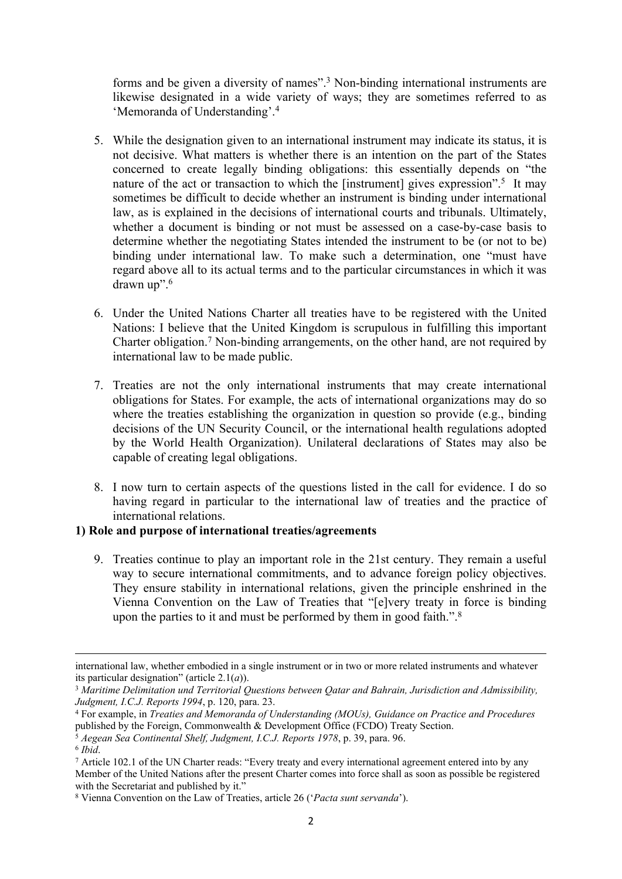forms and be given a diversity of names".<sup>3</sup> Non-binding international instruments are likewise designated in a wide variety of ways; they are sometimes referred to as 'Memoranda of Understanding'.<sup>4</sup>

- 5. While the designation given to an international instrument may indicate its status, it is not decisive. What matters is whether there is an intention on the part of the States concerned to create legally binding obligations: this essentially depends on "the nature of the act or transaction to which the [instrument] gives expression".<sup>5</sup> It may sometimes be difficult to decide whether an instrument is binding under international law, as is explained in the decisions of international courts and tribunals. Ultimately, whether a document is binding or not must be assessed on a case-by-case basis to determine whether the negotiating States intended the instrument to be (or not to be) binding under international law. To make such a determination, one "must have regard above all to its actual terms and to the particular circumstances in which it was drawn up".<sup>6</sup>
- 6. Under the United Nations Charter all treaties have to be registered with the United Nations: I believe that the United Kingdom is scrupulous in fulfilling this important Charter obligation.<sup>7</sup> Non-binding arrangements, on the other hand, are not required by international law to be made public.
- 7. Treaties are not the only international instruments that may create international obligations for States. For example, the acts of international organizations may do so where the treaties establishing the organization in question so provide (e.g., binding decisions of the UN Security Council, or the international health regulations adopted by the World Health Organization). Unilateral declarations of States may also be capable of creating legal obligations.
- 8. I now turn to certain aspects of the questions listed in the call for evidence. I do so having regard in particular to the international law of treaties and the practice of international relations.

### **1) Role and purpose of international treaties/agreements**

9. Treaties continue to play an important role in the 21st century. They remain a useful way to secure international commitments, and to advance foreign policy objectives. They ensure stability in international relations, given the principle enshrined in the Vienna Convention on the Law of Treaties that "[e]very treaty in force is binding upon the parties to it and must be performed by them in good faith.".<sup>8</sup>

international law, whether embodied in a single instrument or in two or more related instruments and whatever its particular designation" (article 2.1(*a*)).

<sup>3</sup> *Maritime Delimitation und Territorial Questions between Qatar and Bahrain, Jurisdiction and Admissibility, Judgment, I.C.J. Reports 1994*, p. 120, para. 23.

<sup>4</sup> For example, in *Treaties and Memoranda of Understanding (MOUs), Guidance on Practice and Procedures* published by the Foreign, Commonwealth & Development Office (FCDO) Treaty Section.

<sup>5</sup> *Aegean Sea Continental Shelf, Judgment, I.C.J. Reports 1978*, p. 39, para. 96.

<sup>6</sup> *Ibid*.

<sup>7</sup> Article 102.1 of the UN Charter reads: "Every treaty and every international agreement entered into by any Member of the United Nations after the present Charter comes into force shall as soon as possible be registered with the Secretariat and published by it."

<sup>8</sup> Vienna Convention on the Law of Treaties, article 26 ('*Pacta sunt servanda*').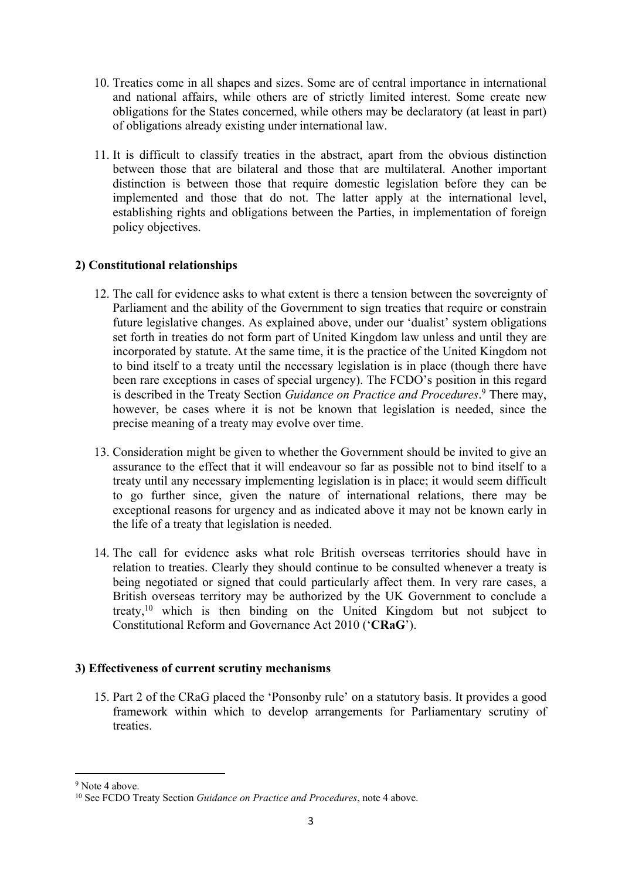- 10. Treaties come in all shapes and sizes. Some are of central importance in international and national affairs, while others are of strictly limited interest. Some create new obligations for the States concerned, while others may be declaratory (at least in part) of obligations already existing under international law.
- 11. It is difficult to classify treaties in the abstract, apart from the obvious distinction between those that are bilateral and those that are multilateral. Another important distinction is between those that require domestic legislation before they can be implemented and those that do not. The latter apply at the international level, establishing rights and obligations between the Parties, in implementation of foreign policy objectives.

# **2) Constitutional relationships**

- 12. The call for evidence asks to what extent is there a tension between the sovereignty of Parliament and the ability of the Government to sign treaties that require or constrain future legislative changes. As explained above, under our 'dualist' system obligations set forth in treaties do not form part of United Kingdom law unless and until they are incorporated by statute. At the same time, it is the practice of the United Kingdom not to bind itself to a treaty until the necessary legislation is in place (though there have been rare exceptions in cases of special urgency). The FCDO's position in this regard is described in the Treaty Section *Guidance on Practice and Procedures*. <sup>9</sup> There may, however, be cases where it is not be known that legislation is needed, since the precise meaning of a treaty may evolve over time.
- 13. Consideration might be given to whether the Government should be invited to give an assurance to the effect that it will endeavour so far as possible not to bind itself to a treaty until any necessary implementing legislation is in place; it would seem difficult to go further since, given the nature of international relations, there may be exceptional reasons for urgency and as indicated above it may not be known early in the life of a treaty that legislation is needed.
- 14. The call for evidence asks what role British overseas territories should have in relation to treaties. Clearly they should continue to be consulted whenever a treaty is being negotiated or signed that could particularly affect them. In very rare cases, a British overseas territory may be authorized by the UK Government to conclude a treaty,<sup>10</sup> which is then binding on the United Kingdom but not subject to Constitutional Reform and Governance Act 2010 ('**CRaG**').

# **3) Effectiveness of current scrutiny mechanisms**

15. Part 2 of the CRaG placed the 'Ponsonby rule' on a statutory basis. It provides a good framework within which to develop arrangements for Parliamentary scrutiny of treaties.

<sup>9</sup> Note 4 above.

<sup>10</sup> See FCDO Treaty Section *Guidance on Practice and Procedures*, note 4 above.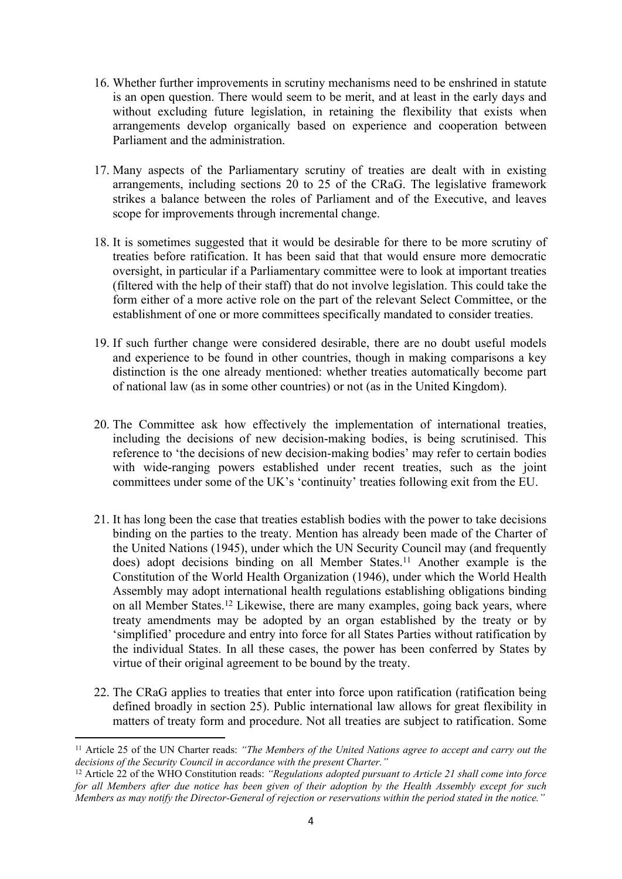- 16. Whether further improvements in scrutiny mechanisms need to be enshrined in statute is an open question. There would seem to be merit, and at least in the early days and without excluding future legislation, in retaining the flexibility that exists when arrangements develop organically based on experience and cooperation between Parliament and the administration.
- 17. Many aspects of the Parliamentary scrutiny of treaties are dealt with in existing arrangements, including sections 20 to 25 of the CRaG. The legislative framework strikes a balance between the roles of Parliament and of the Executive, and leaves scope for improvements through incremental change.
- 18. It is sometimes suggested that it would be desirable for there to be more scrutiny of treaties before ratification. It has been said that that would ensure more democratic oversight, in particular if a Parliamentary committee were to look at important treaties (filtered with the help of their staff) that do not involve legislation. This could take the form either of a more active role on the part of the relevant Select Committee, or the establishment of one or more committees specifically mandated to consider treaties.
- 19. If such further change were considered desirable, there are no doubt useful models and experience to be found in other countries, though in making comparisons a key distinction is the one already mentioned: whether treaties automatically become part of national law (as in some other countries) or not (as in the United Kingdom).
- 20. The Committee ask how effectively the implementation of international treaties, including the decisions of new decision-making bodies, is being scrutinised. This reference to 'the decisions of new decision-making bodies' may refer to certain bodies with wide-ranging powers established under recent treaties, such as the joint committees under some of the UK's 'continuity' treaties following exit from the EU.
- 21. It has long been the case that treaties establish bodies with the power to take decisions binding on the parties to the treaty. Mention has already been made of the Charter of the United Nations (1945), under which the UN Security Council may (and frequently does) adopt decisions binding on all Member States.<sup>11</sup> Another example is the Constitution of the World Health Organization (1946), under which the World Health Assembly may adopt international health regulations establishing obligations binding on all Member States.<sup>12</sup> Likewise, there are many examples, going back years, where treaty amendments may be adopted by an organ established by the treaty or by 'simplified' procedure and entry into force for all States Parties without ratification by the individual States. In all these cases, the power has been conferred by States by virtue of their original agreement to be bound by the treaty.
- 22. The CRaG applies to treaties that enter into force upon ratification (ratification being defined broadly in section 25). Public international law allows for great flexibility in matters of treaty form and procedure. Not all treaties are subject to ratification. Some

<sup>11</sup> Article 25 of the UN Charter reads: *"The Members of the United Nations agree to accept and carry out the decisions of the Security Council in accordance with the present Charter."*

<sup>12</sup> Article 22 of the WHO Constitution reads: *"Regulations adopted pursuant to Article 21 shall come into force* for all Members after due notice has been given of their adoption by the Health Assembly except for such Members as may notify the Director-General of rejection or reservations within the period stated in the notice."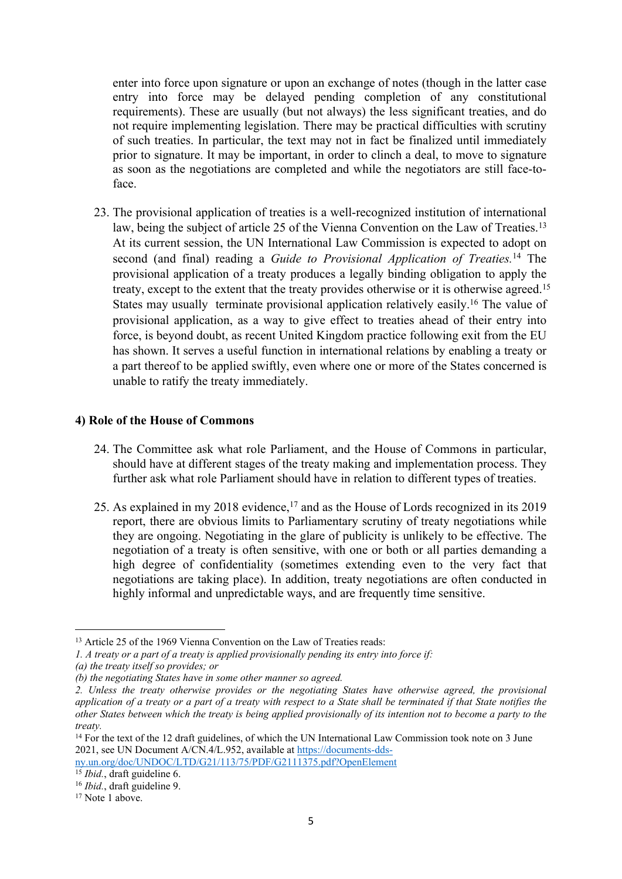enter into force upon signature or upon an exchange of notes (though in the latter case entry into force may be delayed pending completion of any constitutional requirements). These are usually (but not always) the less significant treaties, and do not require implementing legislation. There may be practical difficulties with scrutiny of such treaties. In particular, the text may not in fact be finalized until immediately prior to signature. It may be important, in order to clinch a deal, to move to signature as soon as the negotiations are completed and while the negotiators are still face-toface.

23. The provisional application of treaties is a well-recognized institution of international law, being the subject of article 25 of the Vienna Convention on the Law of Treaties.<sup>13</sup> At its current session, the UN International Law Commission is expected to adopt on second (and final) reading a *Guide to Provisional Application of Treaties.*<sup>14</sup> The provisional application of a treaty produces a legally binding obligation to apply the treaty, except to the extent that the treaty provides otherwise or it is otherwise agreed.<sup>15</sup> States may usually terminate provisional application relatively easily.<sup>16</sup> The value of provisional application, as a way to give effect to treaties ahead of their entry into force, is beyond doubt, as recent United Kingdom practice following exit from the EU has shown. It serves a useful function in international relations by enabling a treaty or a part thereof to be applied swiftly, even where one or more of the States concerned is unable to ratify the treaty immediately.

#### **4) Role of the House of Commons**

- 24. The Committee ask what role Parliament, and the House of Commons in particular, should have at different stages of the treaty making and implementation process. They further ask what role Parliament should have in relation to different types of treaties.
- 25. As explained in my 2018 evidence,<sup>17</sup> and as the House of Lords recognized in its 2019 report, there are obvious limits to Parliamentary scrutiny of treaty negotiations while they are ongoing. Negotiating in the glare of publicity is unlikely to be effective. The negotiation of a treaty is often sensitive, with one or both or all parties demanding a high degree of confidentiality (sometimes extending even to the very fact that negotiations are taking place). In addition, treaty negotiations are often conducted in highly informal and unpredictable ways, and are frequently time sensitive.

<sup>&</sup>lt;sup>13</sup> Article 25 of the 1969 Vienna Convention on the Law of Treaties reads:

*<sup>1.</sup> A treaty or a part of a treaty is applied provisionally pending its entry into force if:*

*<sup>(</sup>a) the treaty itself so provides; or*

*<sup>(</sup>b) the negotiating States have in some other manner so agreed.*

*<sup>2.</sup> Unless the treaty otherwise provides or the negotiating States have otherwise agreed, the provisional* application of a treaty or a part of a treaty with respect to a State shall be terminated if that State notifies the other States between which the treaty is being applied provisionally of its intention not to become a party to the *treaty.*

<sup>&</sup>lt;sup>14</sup> For the text of the 12 draft guidelines, of which the UN International Law Commission took note on 3 June 2021, see UN Document A/CN.4/L.952, available at [https://documents-dds-](https://documents-dds-ny.un.org/doc/UNDOC/LTD/G21/113/75/PDF/G2111375.pdf?OpenElement)

[ny.un.org/doc/UNDOC/LTD/G21/113/75/PDF/G2111375.pdf?OpenElement](https://documents-dds-ny.un.org/doc/UNDOC/LTD/G21/113/75/PDF/G2111375.pdf?OpenElement)  <sup>15</sup> *Ibid.*, draft guideline 6.

<sup>16</sup> *Ibid.*, draft guideline 9.

<sup>&</sup>lt;sup>17</sup> Note 1 above.